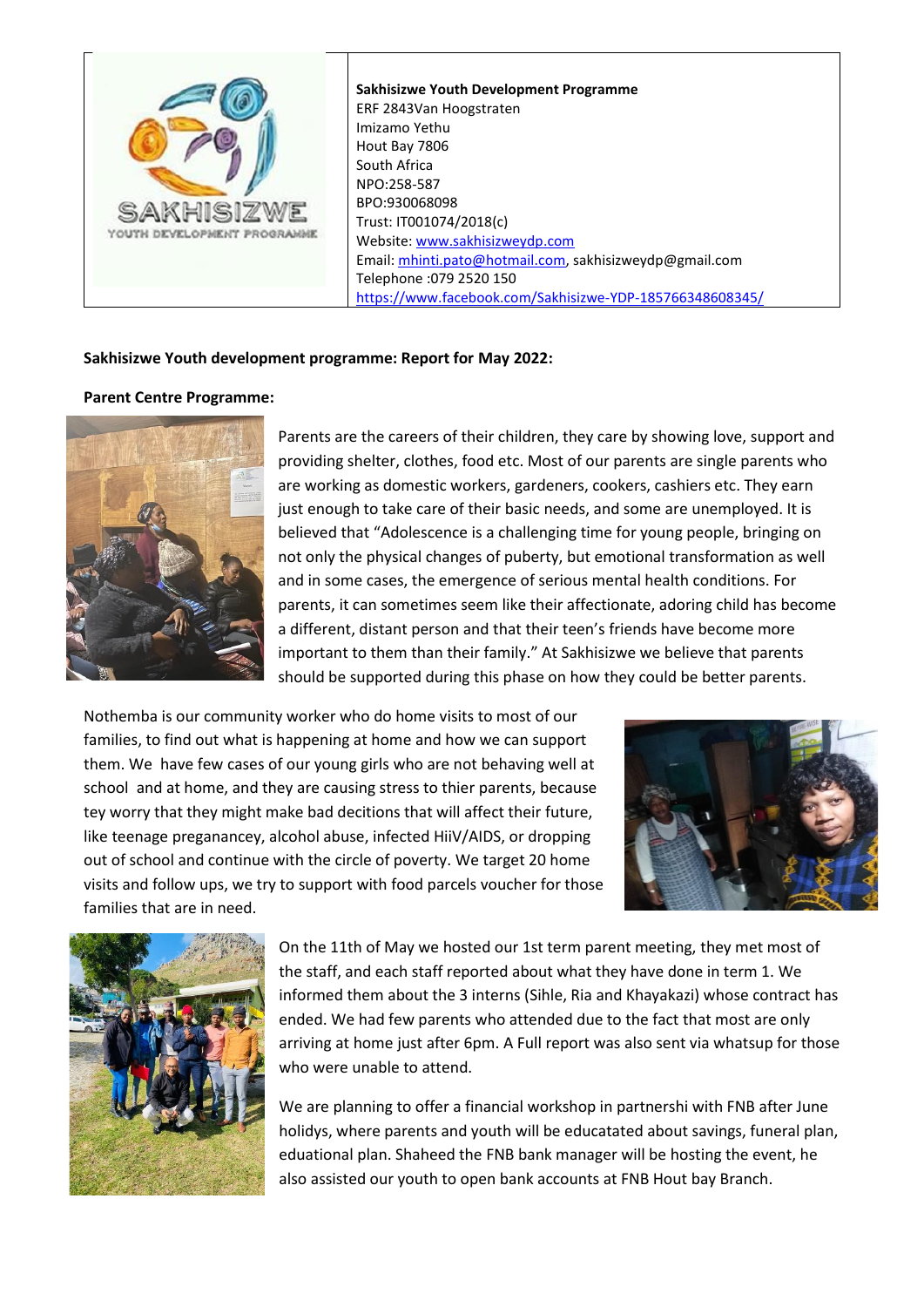

## **Sakhisizwe Youth development programme: Report for May 2022:**

### **Parent Centre Programme:**



Parents are the careers of their children, they care by showing love, support and providing shelter, clothes, food etc. Most of our parents are single parents who are working as domestic workers, gardeners, cookers, cashiers etc. They earn just enough to take care of their basic needs, and some are unemployed. It is believed that "Adolescence is a challenging time for young people, bringing on not only [the physical changes of puberty,](https://www.psychologytoday.com/us/basics/child-development) but emotional transformation as well and in some cases, the emergence of serious mental health conditions. For parents, it can sometimes seem like their affectionate, adoring child has become a different, distant person and that their teen's friends have become more important to them than their family." At Sakhisizwe we believe that parents should be supported during this phase on how they could be better parents.

Nothemba is our community worker who do home visits to most of our families, to find out what is happening at home and how we can support them. We have few cases of our young girls who are not behaving well at school and at home, and they are causing stress to thier parents, because tey worry that they might make bad decitions that will affect their future, like teenage preganancey, alcohol abuse, infected HiiV/AIDS, or dropping out of school and continue with the circle of poverty. We target 20 home visits and follow ups, we try to support with food parcels voucher for those families that are in need.





On the 11th of May we hosted our 1st term parent meeting, they met most of the staff, and each staff reported about what they have done in term 1. We informed them about the 3 interns (Sihle, Ria and Khayakazi) whose contract has ended. We had few parents who attended due to the fact that most are only arriving at home just after 6pm. A Full report was also sent via whatsup for those who were unable to attend.

We are planning to offer a financial workshop in partnershi with FNB after June holidys, where parents and youth will be educatated about savings, funeral plan, eduational plan. Shaheed the FNB bank manager will be hosting the event, he also assisted our youth to open bank accounts at FNB Hout bay Branch.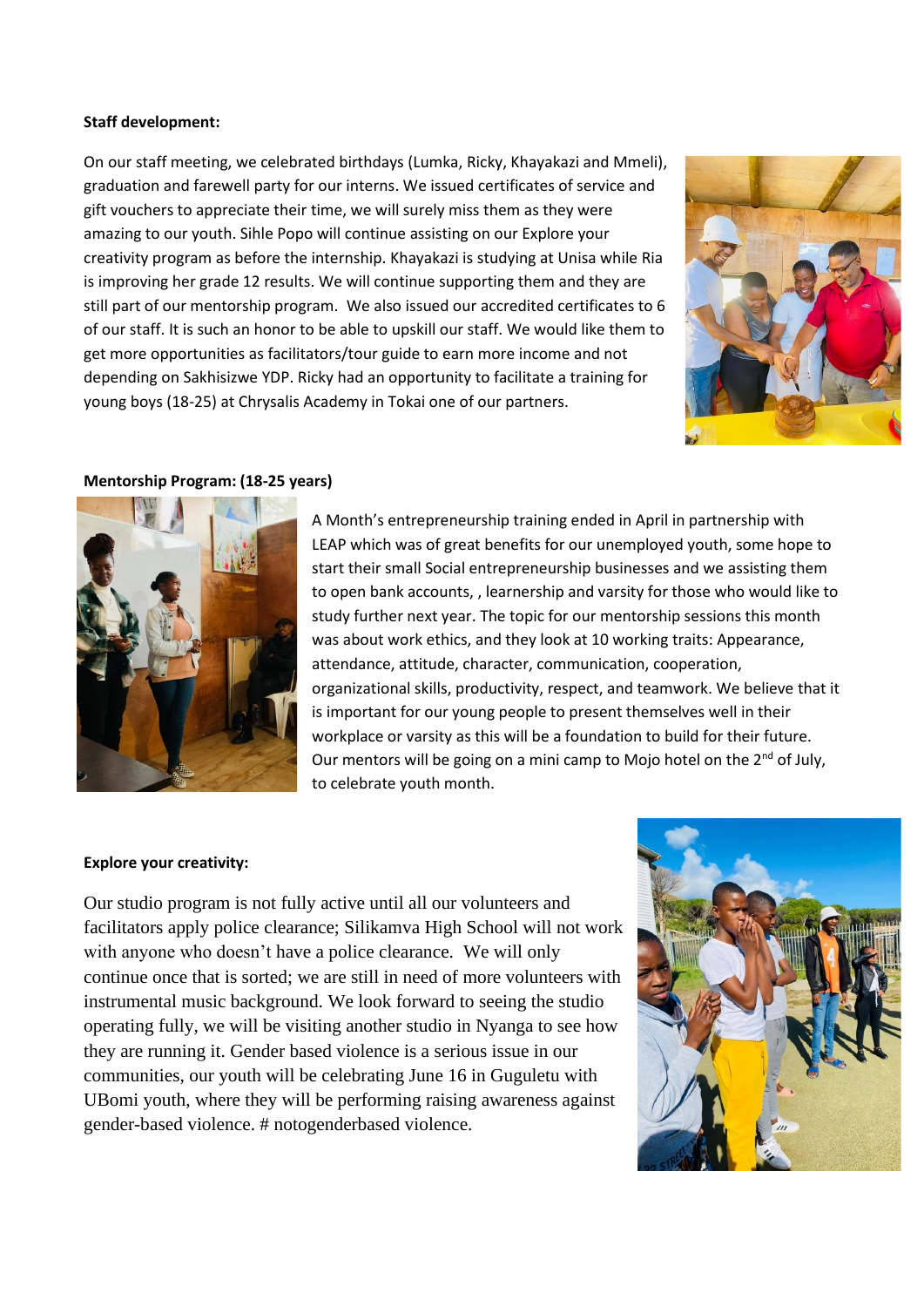## **Staff development:**

On our staff meeting, we celebrated birthdays (Lumka, Ricky, Khayakazi and Mmeli), graduation and farewell party for our interns. We issued certificates of service and gift vouchers to appreciate their time, we will surely miss them as they were amazing to our youth. Sihle Popo will continue assisting on our Explore your creativity program as before the internship. Khayakazi is studying at Unisa while Ria is improving her grade 12 results. We will continue supporting them and they are still part of our mentorship program. We also issued our accredited certificates to 6 of our staff. It is such an honor to be able to upskill our staff. We would like them to get more opportunities as facilitators/tour guide to earn more income and not depending on Sakhisizwe YDP. Ricky had an opportunity to facilitate a training for young boys (18-25) at Chrysalis Academy in Tokai one of our partners.



### **Mentorship Program: (18-25 years)**



A Month's entrepreneurship training ended in April in partnership with LEAP which was of great benefits for our unemployed youth, some hope to start their small Social entrepreneurship businesses and we assisting them to open bank accounts, , learnership and varsity for those who would like to study further next year. The topic for our mentorship sessions this month was about work ethics, and they look at 10 working traits: Appearance, attendance, attitude, character, communication, cooperation, organizational skills, productivity, respect, and teamwork. We believe that it is important for our young people to present themselves well in their workplace or varsity as this will be a foundation to build for their future. Our mentors will be going on a mini camp to Mojo hotel on the  $2^{nd}$  of July, to celebrate youth month.

#### **Explore your creativity:**

Our studio program is not fully active until all our volunteers and facilitators apply police clearance; Silikamva High School will not work with anyone who doesn't have a police clearance. We will only continue once that is sorted; we are still in need of more volunteers with instrumental music background. We look forward to seeing the studio operating fully, we will be visiting another studio in Nyanga to see how they are running it. Gender based violence is a serious issue in our communities, our youth will be celebrating June 16 in Guguletu with UBomi youth, where they will be performing raising awareness against gender-based violence. # notogenderbased violence.

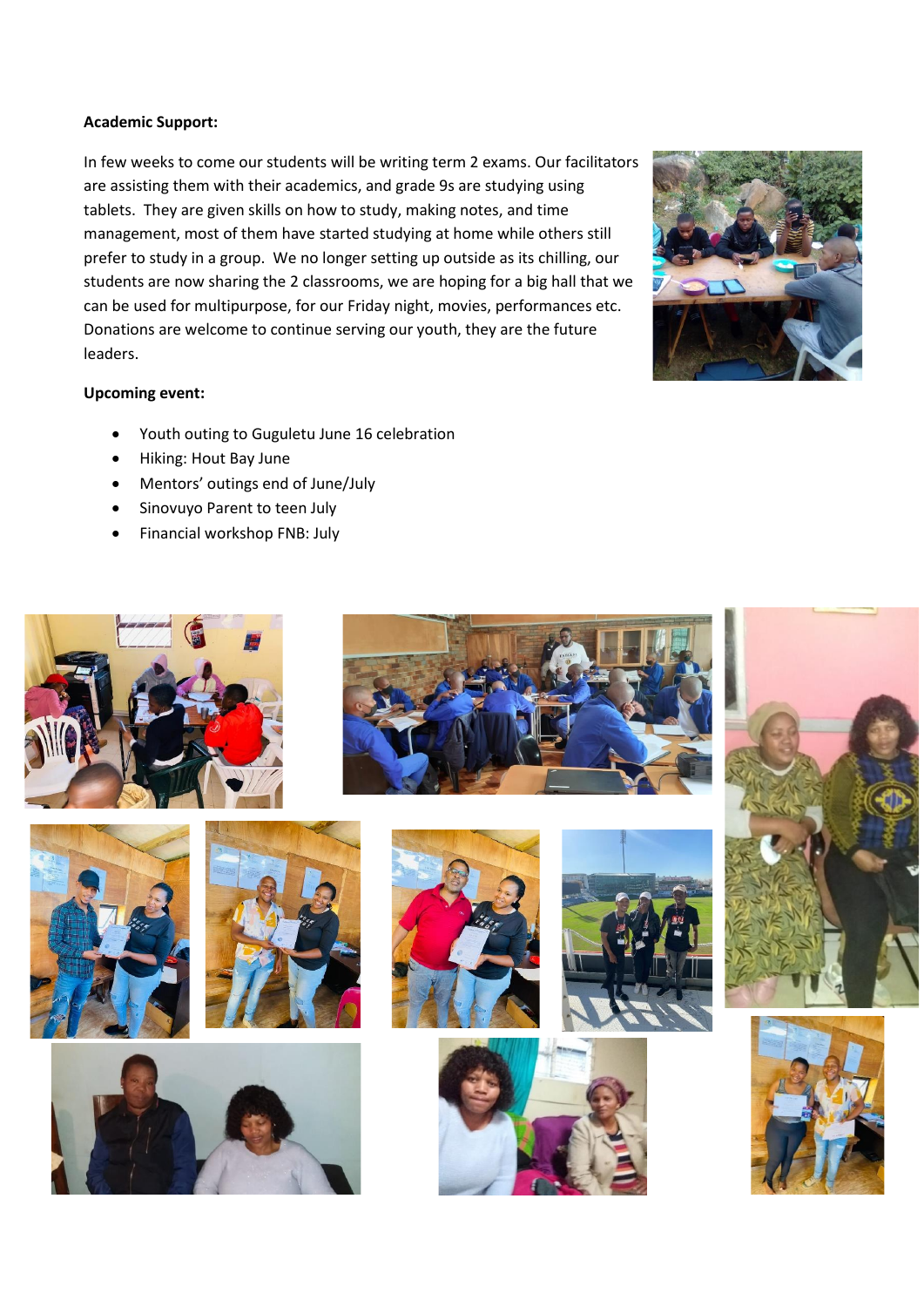## **Academic Support:**

In few weeks to come our students will be writing term 2 exams. Our facilitators are assisting them with their academics, and grade 9s are studying using tablets. They are given skills on how to study, making notes, and time management, most of them have started studying at home while others still prefer to study in a group. We no longer setting up outside as its chilling, our students are now sharing the 2 classrooms, we are hoping for a big hall that we can be used for multipurpose, for our Friday night, movies, performances etc. Donations are welcome to continue serving our youth, they are the future leaders.



# **Upcoming event:**

- Youth outing to Guguletu June 16 celebration
- Hiking: Hout Bay June
- Mentors' outings end of June/July
- Sinovuyo Parent to teen July
- Financial workshop FNB: July